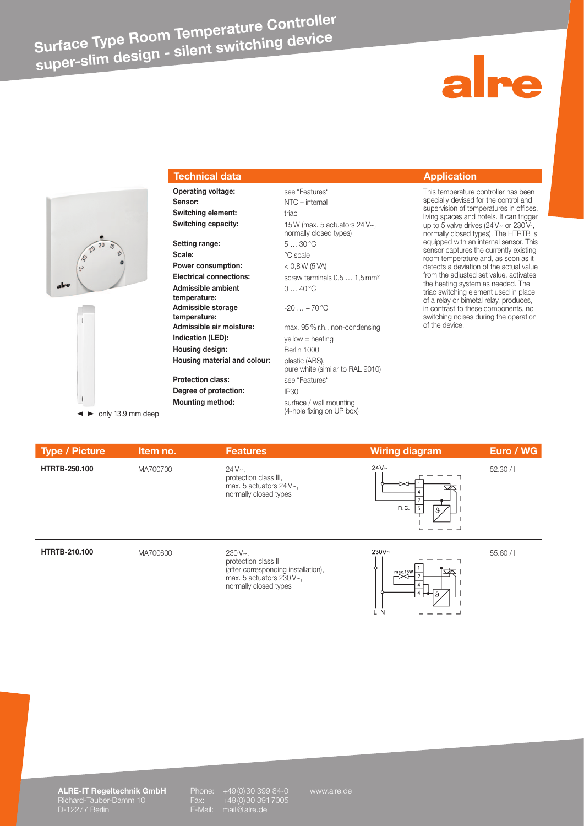# **Surface Type Room Temperature Controller super-slim design - silent switching device**



## **Technical data Application**

**Sensor:** NTC – internal **Switching element:** triac

**Setting range:** 5 … 30 °C Scale:  $\degree$ C scale **Power consumption:**  $<$  0,8 W (5 VA) **Admissible ambient temperature: Admissible storage temperature: Indication (LED):** yellow = heating **Housing design:** Berlin 1000 **Housing material and colour:** plastic (ABS), **Protection class:** see "Features" **Degree of protection:** IP30 **Mounting method:** surface / wall mounting

**Switching capacity:** 15 W (max. 5 actuators 24 V~, normally closed types) **Electrical connections:** screw terminals 0,5 ... 1,5 mm<sup>2</sup> 0 … 40 °C  $-20... + 70$  °C **Admissible air moisture:** max. 95 % r.h., non-condensing pure white (similar to RAL 9010)

(4-hole fixing on UP box)

**Operating voltage:** see "Features" This temperature controller has been specially devised for the control and supervision of temperatures in offices, living spaces and hotels. It can trigger up to 5 valve drives (24 V $\sim$  or 230 Vnormally closed types). The HTRTB is equipped with an internal sensor. This sensor captures the currently existing room temperature and, as soon as it detects a deviation of the actual value from the adjusted set value, activates the heating system as needed. The triac switching element used in place of a relay or bimetal relay, produces, in contrast to these components, no switching noises during the operation of the device.

| Type / Picture       | Item no. | <b>Features</b>                                                                      | <b>Wiring diagram</b>          | Euro / WG |
|----------------------|----------|--------------------------------------------------------------------------------------|--------------------------------|-----------|
| <b>HTRTB-250.100</b> | MA700700 | $24V -$<br>protection class III,<br>max. 5 actuators 24 V~,<br>normally closed types | $24V -$<br>⊳<br>∞<br>n.c.<br>9 | 52.30/1   |
| <b>HTRTB-210.100</b> | MA700600 | $230V -$ .                                                                           | $230V -$                       | 55.60/1   |

protection class II (after corresponding installation), max. 5 actuators 230 V~, normally closed types



**ALRE-IT Regeltechnik GmbH** Phone: +49 (0) 30 399 84-0 www.alre.de Richard-Tauber-Damm 10 Fax: +49 (0) 30 391 7005 D-12277 Berlin E-Mail: mail@alre.de